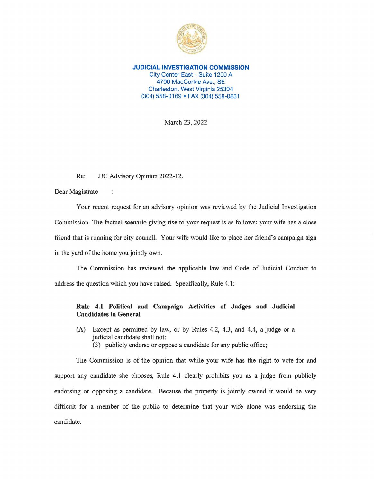

**JUDICIAL INVESTIGATION COMMISSION**  City Center East - Suite 1200 A 4700 MacCorkle Ave., SE Charleston, West Virginia 25304 (304) 558-0169 • FAX (304) 558-0831

March 23, 2022

Re: JIC Advisory Opinion 2022-12.

 $\ddot{\phantom{a}}$ 

Dear Magistrate

Your recent request for an advisory opinion was reviewed by the Judicial Investigation Commission. The factual scenario giving rise to your request is as follows: your wife has a close friend that is running for city council. Your wife would like to place her friend's campaign sign in the yard of the home you jointly own.

The Commission has reviewed the applicable law and Code of Judicial Conduct to address the question which you have raised. Specifically, Rule 4.1:

## **Rule 4.1 Political and Campaign Activities of Judges and Judicial Candidates in General**

- (A) Except as permitted by law, or by Rules 4.2, 4.3, and 4.4, a judge or a judicial candidate shall not:
	- (3) publicly endorse or oppose a candidate for any public office;

The Commission is of the opinion that while your wife has the right to vote for and support any candidate she chooses, Rule 4.1 clearly prohibits you as a judge from publicly endorsing or opposing a candidate. Because the property is jointly owned it would be very difficult for a member of the public to determine that your wife alone was endorsing the candidate.